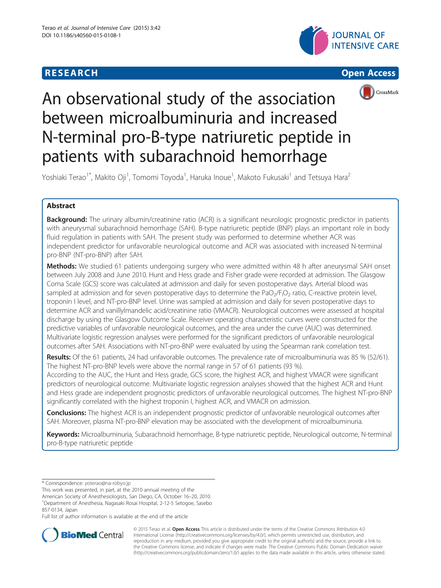## **RESEARCH CHEAR CHEAR CHEAR CHEAR CHEAR CHEAR CHEAR CHEAR CHEAR CHEAR CHEAR CHEAR CHEAR CHEAR CHEAR CHEAR CHEAR**







# An observational study of the association between microalbuminuria and increased N-terminal pro-B-type natriuretic peptide in patients with subarachnoid hemorrhage

Yoshiaki Terao<sup>1\*</sup>, Makito Oji<sup>1</sup>, Tomomi Toyoda<sup>1</sup>, Haruka Inoue<sup>1</sup>, Makoto Fukusaki<sup>1</sup> and Tetsuya Hara<sup>2</sup>

### Abstract

Background: The urinary albumin/creatinine ratio (ACR) is a significant neurologic prognostic predictor in patients with aneurysmal subarachnoid hemorrhage (SAH). B-type natriuretic peptide (BNP) plays an important role in body fluid regulation in patients with SAH. The present study was performed to determine whether ACR was independent predictor for unfavorable neurological outcome and ACR was associated with increased N-terminal pro-BNP (NT-pro-BNP) after SAH.

Methods: We studied 61 patients undergoing surgery who were admitted within 48 h after aneurysmal SAH onset between July 2008 and June 2010. Hunt and Hess grade and Fisher grade were recorded at admission. The Glasgow Coma Scale (GCS) score was calculated at admission and daily for seven postoperative days. Arterial blood was sampled at admission and for seven postoperative days to determine the PaO<sub>2</sub>/F<sub>I</sub>O<sub>2</sub> ratio, C-reactive protein level, troponin I level, and NT-pro-BNP level. Urine was sampled at admission and daily for seven postoperative days to determine ACR and vanillylmandelic acid/creatinine ratio (VMACR). Neurological outcomes were assessed at hospital discharge by using the Glasgow Outcome Scale. Receiver operating characteristic curves were constructed for the predictive variables of unfavorable neurological outcomes, and the area under the curve (AUC) was determined. Multivariate logistic regression analyses were performed for the significant predictors of unfavorable neurological outcomes after SAH. Associations with NT-pro-BNP were evaluated by using the Spearman rank correlation test.

Results: Of the 61 patients, 24 had unfavorable outcomes. The prevalence rate of microalbuminuria was 85 % (52/61). The highest NT-pro-BNP levels were above the normal range in 57 of 61 patients (93 %).

According to the AUC, the Hunt and Hess grade, GCS score, the highest ACR, and highest VMACR were significant predictors of neurological outcome. Multivariate logistic regression analyses showed that the highest ACR and Hunt and Hess grade are independent prognostic predictors of unfavorable neurological outcomes. The highest NT-pro-BNP significantly correlated with the highest troponin I, highest ACR, and VMACR on admission.

Conclusions: The highest ACR is an independent prognostic predictor of unfavorable neurological outcomes after SAH. Moreover, plasma NT-pro-BNP elevation may be associated with the development of microalbuminuria.

Keywords: Microalbuminuria, Subarachnoid hemorrhage, B-type natriuretic peptide, Neurological outcome, N-terminal pro-B-type natriuretic peptide

This work was presented, in part, at the 2010 annual meeting of the

857-0134, Japan

Full list of author information is available at the end of the article



© 2015 Terao et al. Open Access This article is distributed under the terms of the Creative Commons Attribution 4.0 International License [\(http://creativecommons.org/licenses/by/4.0/](http://creativecommons.org/licenses/by/4.0/)), which permits unrestricted use, distribution, and reproduction in any medium, provided you give appropriate credit to the original author(s) and the source, provide a link to the Creative Commons license, and indicate if changes were made. The Creative Commons Public Domain Dedication waiver [\(http://creativecommons.org/publicdomain/zero/1.0/](http://creativecommons.org/publicdomain/zero/1.0/)) applies to the data made available in this article, unless otherwise stated.

<sup>\*</sup> Correspondence: [yoterao@na-robyo.jp](mailto:yoterao@na-robyo.jp)

American Society of Anesthesiologists, San Diego, CA, October 16–20, 2010. <sup>1</sup> <sup>1</sup>Department of Anesthesia, Nagasaki Rosai Hospital, 2-12-5 Setogoe, Sasebo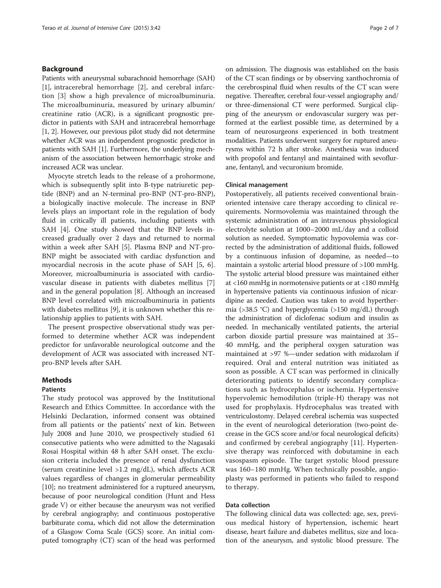#### Background

Patients with aneurysmal subarachnoid hemorrhage (SAH) [[1](#page-6-0)], intracerebral hemorrhage [\[2](#page-6-0)], and cerebral infarction [\[3](#page-6-0)] show a high prevalence of microalbuminuria. The microalbuminuria, measured by urinary albumin/ creatinine ratio (ACR), is a significant prognostic predictor in patients with SAH and intracerebral hemorrhage [[1](#page-6-0), [2](#page-6-0)]. However, our previous pilot study did not determine whether ACR was an independent prognostic predictor in patients with SAH [\[1\]](#page-6-0). Furthermore, the underlying mechanism of the association between hemorrhagic stroke and increased ACR was unclear.

Myocyte stretch leads to the release of a prohormone, which is subsequently split into B-type natriuretic peptide (BNP) and an N-terminal pro-BNP (NT-pro-BNP), a biologically inactive molecule. The increase in BNP levels plays an important role in the regulation of body fluid in critically ill patients, including patients with SAH [[4\]](#page-6-0). One study showed that the BNP levels increased gradually over 2 days and returned to normal within a week after SAH [[5](#page-6-0)]. Plasma BNP and NT-pro-BNP might be associated with cardiac dysfunction and myocardial necrosis in the acute phase of SAH [[5](#page-6-0), [6](#page-6-0)]. Moreover, microalbuminuria is associated with cardiovascular disease in patients with diabetes mellitus [\[7](#page-6-0)] and in the general population [[8](#page-6-0)]. Although an increased BNP level correlated with microalbuminuria in patients with diabetes mellitus [\[9](#page-6-0)], it is unknown whether this relationship applies to patients with SAH.

The present prospective observational study was performed to determine whether ACR was independent predictor for unfavorable neurological outcome and the development of ACR was associated with increased NTpro-BNP levels after SAH.

#### Methods

#### Patients

The study protocol was approved by the Institutional Research and Ethics Committee. In accordance with the Helsinki Declaration, informed consent was obtained from all patients or the patients' next of kin. Between July 2008 and June 2010, we prospectively studied 61 consecutive patients who were admitted to the Nagasaki Rosai Hospital within 48 h after SAH onset. The exclusion criteria included the presence of renal dysfunction (serum creatinine level >1.2 mg/dL), which affects ACR values regardless of changes in glomerular permeability [[10\]](#page-6-0); no treatment administered for a ruptured aneurysm, because of poor neurological condition (Hunt and Hess grade V) or either because the aneurysm was not verified by cerebral angiography; and continuous postoperative barbiturate coma, which did not allow the determination of a Glasgow Coma Scale (GCS) score. An initial computed tomography (CT) scan of the head was performed on admission. The diagnosis was established on the basis of the CT scan findings or by observing xanthochromia of the cerebrospinal fluid when results of the CT scan were negative. Thereafter, cerebral four-vessel angiography and/ or three-dimensional CT were performed. Surgical clipping of the aneurysm or endovascular surgery was performed at the earliest possible time, as determined by a team of neurosurgeons experienced in both treatment modalities. Patients underwent surgery for ruptured aneurysms within 72 h after stroke. Anesthesia was induced with propofol and fentanyl and maintained with sevoflurane, fentanyl, and vecuronium bromide.

#### Clinical management

Postoperatively, all patients received conventional brainoriented intensive care therapy according to clinical requirements. Normovolemia was maintained through the systemic administration of an intravenous physiological electrolyte solution at 1000–2000 mL/day and a colloid solution as needed. Symptomatic hypovolemia was corrected by the administration of additional fluids, followed by a continuous infusion of dopamine, as needed—to maintain a systolic arterial blood pressure of >100 mmHg. The systolic arterial blood pressure was maintained either at <160 mmHg in normotensive patients or at <180 mmHg in hypertensive patients via continuous infusion of nicardipine as needed. Caution was taken to avoid hyperthermia (>38.5 °C) and hyperglycemia (>150 mg/dL) through the administration of diclofenac sodium and insulin as needed. In mechanically ventilated patients, the arterial carbon dioxide partial pressure was maintained at 35– 40 mmHg, and the peripheral oxygen saturation was maintained at >97 %—under sedation with midazolam if required. Oral and enteral nutrition was initiated as soon as possible. A CT scan was performed in clinically deteriorating patients to identify secondary complications such as hydrocephalus or ischemia. Hypertensive hypervolemic hemodilution (triple-H) therapy was not used for prophylaxis. Hydrocephalus was treated with ventriculostomy. Delayed cerebral ischemia was suspected in the event of neurological deterioration (two-point decrease in the GCS score and/or focal neurological deficits) and confirmed by cerebral angiography [[11](#page-6-0)]. Hypertensive therapy was reinforced with dobutamine in each vasospasm episode. The target systolic blood pressure was 160–180 mmHg. When technically possible, angioplasty was performed in patients who failed to respond to therapy.

#### Data collection

The following clinical data was collected: age, sex, previous medical history of hypertension, ischemic heart disease, heart failure and diabetes mellitus, size and location of the aneurysm, and systolic blood pressure. The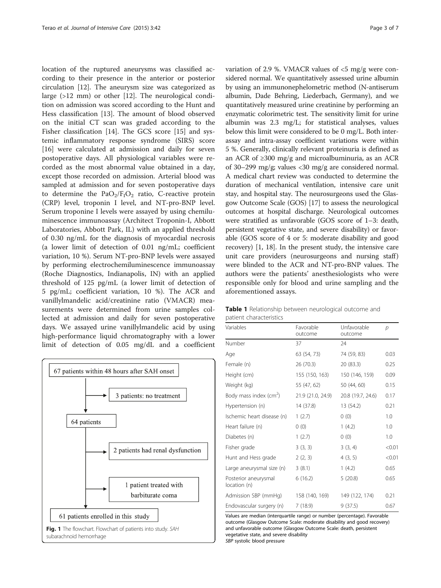<span id="page-2-0"></span>location of the ruptured aneurysms was classified according to their presence in the anterior or posterior circulation [[12\]](#page-6-0). The aneurysm size was categorized as large (>12 mm) or other [[12](#page-6-0)]. The neurological condition on admission was scored according to the Hunt and Hess classification [[13](#page-6-0)]. The amount of blood observed on the initial CT scan was graded according to the Fisher classification [[14](#page-6-0)]. The GCS score [\[15\]](#page-6-0) and systemic inflammatory response syndrome (SIRS) score [[16\]](#page-6-0) were calculated at admission and daily for seven postoperative days. All physiological variables were recorded as the most abnormal value obtained in a day, except those recorded on admission. Arterial blood was sampled at admission and for seven postoperative days to determine the  $PaO<sub>2</sub>/F<sub>I</sub>O<sub>2</sub>$  ratio, C-reactive protein (CRP) level, troponin I level, and NT-pro-BNP level. Serum troponine I levels were assayed by using chemiluminescence immunoassay (Architect Troponin-I, Abbott Laboratories, Abbott Park, IL) with an applied threshold of 0.30 ng/mL for the diagnosis of myocardial necrosis (a lower limit of detection of 0.01 ng/mL; coefficient variation, 10 %). Serum NT-pro-BNP levels were assayed by performing electrochemiluminescence immunoassay (Roche Diagnostics, Indianapolis, IN) with an applied threshold of 125 pg/mL (a lower limit of detection of 5 pg/mL; coefficient variation, 10 %). The ACR and vanillylmandelic acid/creatinine ratio (VMACR) measurements were determined from urine samples collected at admission and daily for seven postoperative days. We assayed urine vanillylmandelic acid by using high-performance liquid chromatography with a lower limit of detection of 0.05 mg/dL and a coefficient



variation of 2.9 %. VMACR values of  $\langle$  5 mg/g were considered normal. We quantitatively assessed urine albumin by using an immunonephelometric method (N-antiserum albumin, Dade Behring, Liederbach, Germany), and we quantitatively measured urine creatinine by performing an enzymatic colorimetric test. The sensitivity limit for urine albumin was 2.3 mg/L; for statistical analyses, values below this limit were considered to be 0 mg/L. Both interassay and intra-assay coefficient variations were within 5 %. Generally, clinically relevant proteinuria is defined as an ACR of ≥300 mg/g and microalbuminuria, as an ACR of 30–299 mg/g; values <30 mg/g are considered normal. A medical chart review was conducted to determine the duration of mechanical ventilation, intensive care unit stay, and hospital stay. The neurosurgeons used the Glasgow Outcome Scale (GOS) [\[17\]](#page-6-0) to assess the neurological outcomes at hospital discharge. Neurological outcomes were stratified as unfavorable (GOS score of 1–3: death, persistent vegetative state, and severe disability) or favorable (GOS score of 4 or 5: moderate disability and good recovery) [[1](#page-6-0), [18\]](#page-6-0). In the present study, the intensive care unit care providers (neurosurgeons and nursing staff) were blinded to the ACR and NT-pro-BNP values. The authors were the patients' anesthesiologists who were responsible only for blood and urine sampling and the aforementioned assays.

| <b>Table 1</b> Relationship between neurological outcome and |  |  |
|--------------------------------------------------------------|--|--|
| patient characteristics                                      |  |  |

| Variables                            | Favorable<br>outcome | Unfavorable<br>outcome | D      |
|--------------------------------------|----------------------|------------------------|--------|
| Number                               | 37                   | 24                     |        |
| Age                                  | 63 (54, 73)          | 74 (59, 83)            | 0.03   |
| Female (n)                           | 26 (70.3)            | 20 (83.3)              | 0.25   |
| Height (cm)                          | 155 (150, 163)       | 150 (146, 159)         | 0.09   |
| Weight (kg)                          | 55 (47, 62)          | 50 (44, 60)            | 0.15   |
| Body mass index (cm <sup>2</sup> )   | 21.9 (21.0, 24.9)    | 20.8 (19.7, 24.6)      | 0.17   |
| Hypertension (n)                     | 14 (37.8)            | 13 (54.2)              | 0.21   |
| Ischemic heart disease (n)           | 1(2.7)               | 0(0)                   | 1.0    |
| Heart failure (n)                    | 0(0)                 | 1(4.2)                 | 1.0    |
| Diabetes (n)                         | 1(2.7)               | 0(0)                   | 1.0    |
| Fisher grade                         | 3(3, 3)              | 3(3, 4)                | < 0.01 |
| Hunt and Hess grade                  | 2(2, 3)              | 4(3, 5)                | < 0.01 |
| Large aneurysmal size (n)            | 3(8.1)               | 1(4.2)                 | 0.65   |
| Posterior aneurysmal<br>location (n) | 6(16.2)              | 5(20.8)                | 0.65   |
| Admission SBP (mmHg)                 | 158 (140, 169)       | 149 (122, 174)         | 0.21   |
| Endovascular surgery (n)             | 7(18.9)              | 9(37.5)                | 0.67   |

Values are median (interquartile range) or number (percentage). Favorable outcome (Glasgow Outcome Scale: moderate disability and good recovery) and unfavorable outcome (Glasgow Outcome Scale: death, persistent vegetative state, and severe disability

SBP systolic blood pressure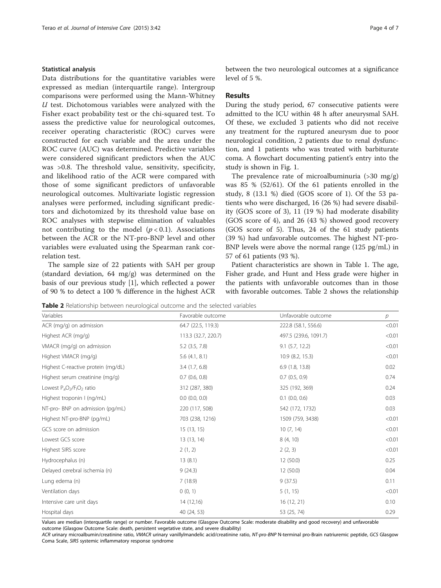#### Statistical analysis

Data distributions for the quantitative variables were expressed as median (interquartile range). Intergroup comparisons were performed using the Mann-Whitney  $U$  test. Dichotomous variables were analyzed with the Fisher exact probability test or the chi-squared test. To assess the predictive value for neurological outcomes, receiver operating characteristic (ROC) curves were constructed for each variable and the area under the ROC curve (AUC) was determined. Predictive variables were considered significant predictors when the AUC was >0.8. The threshold value, sensitivity, specificity, and likelihood ratio of the ACR were compared with those of some significant predictors of unfavorable neurological outcomes. Multivariate logistic regression analyses were performed, including significant predictors and dichotomized by its threshold value base on ROC analyses with stepwise elimination of valuables not contributing to the model  $(p < 0.1)$ . Associations between the ACR or the NT-pro-BNP level and other variables were evaluated using the Spearman rank correlation test.

The sample size of 22 patients with SAH per group (standard deviation, 64 mg/g) was determined on the basis of our previous study [\[1](#page-6-0)], which reflected a power of 90 % to detect a 100 % difference in the highest ACR between the two neurological outcomes at a significance level of 5 %.

#### Results

During the study period, 67 consecutive patients were admitted to the ICU within 48 h after aneurysmal SAH. Of these, we excluded 3 patients who did not receive any treatment for the ruptured aneurysm due to poor neurological condition, 2 patients due to renal dysfunction, and 1 patients who was treated with barbiturate coma. A flowchart documenting patient's entry into the study is shown in Fig. [1.](#page-2-0)

The prevalence rate of microalbuminuria  $(>30 \text{ mg/g})$ was 85 % (52/61). Of the 61 patients enrolled in the study, 8 (13.1 %) died (GOS score of 1). Of the 53 patients who were discharged, 16 (26 %) had severe disability (GOS score of 3), 11 (19 %) had moderate disability (GOS score of 4), and 26 (43 %) showed good recovery (GOS score of 5). Thus, 24 of the 61 study patients (39 %) had unfavorable outcomes. The highest NT-pro-BNP levels were above the normal range (125 pg/mL) in 57 of 61 patients (93 %).

Patient characteristics are shown in Table [1.](#page-2-0) The age, Fisher grade, and Hunt and Hess grade were higher in the patients with unfavorable outcomes than in those with favorable outcomes. Table 2 shows the relationship

**Table 2** Relationship between neurological outcome and the selected variables

| Variables                          | Favorable outcome   | Unfavorable outcome   | р      |
|------------------------------------|---------------------|-----------------------|--------|
| ACR (mg/g) on admission            | 64.7 (22.5, 119.3)  | 222.8 (58.1, 556.6)   | < 0.01 |
| Highest ACR (mg/g)                 | 113.3 (32.7, 220.7) | 497.5 (239.6, 1091.7) | < 0.01 |
| VMACR (mg/g) on admission          | $5.2$ $(3.5, 7.8)$  | $9.1$ (5.7, 12.2)     | < 0.01 |
| Highest VMACR (mg/g)               | 5.6(4.1, 8.1)       | 10.9(8.2, 15.3)       | < 0.01 |
| Highest C-reactive protein (mg/dL) | 3.4(1.7, 6.8)       | $6.9$ (1.8, 13.8)     | 0.02   |
| Highest serum creatinine (mg/g)    | $0.7$ $(0.6, 0.8)$  | $0.7$ $(0.5, 0.9)$    | 0.74   |
| Lowest $P_aO_2/F_1O_2$ ratio       | 312 (287, 380)      | 325 (192, 369)        | 0.24   |
| Highest troponin I (ng/mL)         | $0.0$ $(0.0, 0.0)$  | $0.1$ $(0.0, 0.6)$    | 0.03   |
| NT-pro- BNP on admission (pg/mL)   | 220 (117, 508)      | 542 (172, 1732)       | 0.03   |
| Highest NT-pro-BNP (pg/mL)         | 703 (238, 1216)     | 1509 (759, 3438)      | < 0.01 |
| GCS score on admission             | 15(13, 15)          | 10(7, 14)             | < 0.01 |
| Lowest GCS score                   | 13 (13, 14)         | 8 (4, 10)             | < 0.01 |
| Highest SIRS score                 | 2(1, 2)             | 2(2, 3)               | < 0.01 |
| Hydrocephalus (n)                  | 13(8.1)             | 12(50.0)              | 0.25   |
| Delayed cerebral ischemia (n)      | 9(24.3)             | 12 (50.0)             | 0.04   |
| Lung edema (n)                     | 7(18.9)             | 9(37.5)               | 0.11   |
| Ventilation days                   | 0(0, 1)             | 5(1, 15)              | < 0.01 |
| Intensive care unit days           | 14 (12,16)          | 16 (12, 21)           | 0.10   |
| Hospital days                      | 40 (24, 53)         | 53 (25, 74)           | 0.29   |

Values are median (interquartile range) or number. Favorable outcome (Glasgow Outcome Scale: moderate disability and good recovery) and unfavorable outcome (Glasgow Outcome Scale: death, persistent vegetative state, and severe disability)

ACR urinary microalbumin/creatinine ratio, VMACR urinary vanillylmandelic acid/creatinine ratio, NT-pro-BNP N-terminal pro-Brain natriuremic peptide, GCS Glasgow Coma Scale, SIRS systemic inflammatory response syndrome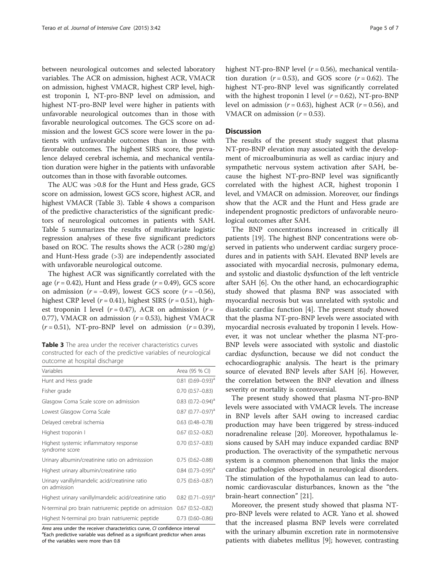between neurological outcomes and selected laboratory variables. The ACR on admission, highest ACR, VMACR on admission, highest VMACR, highest CRP level, highest troponin I, NT-pro-BNP level on admission, and highest NT-pro-BNP level were higher in patients with unfavorable neurological outcomes than in those with favorable neurological outcomes. The GCS score on admission and the lowest GCS score were lower in the patients with unfavorable outcomes than in those with favorable outcomes. The highest SIRS score, the prevalence delayed cerebral ischemia, and mechanical ventilation duration were higher in the patients with unfavorable outcomes than in those with favorable outcomes.

The AUC was >0.8 for the Hunt and Hess grade, GCS score on admission, lowest GCS score, highest ACR, and highest VMACR (Table 3). Table [4](#page-5-0) shows a comparison of the predictive characteristics of the significant predictors of neurological outcomes in patients with SAH. Table [5](#page-5-0) summarizes the results of multivariate logistic regression analyses of these five significant predictors based on ROC. The results shows the ACR (>280 mg/g) and Hunt-Hess grade (>3) are independently associated with unfavorable neurological outcome.

The highest ACR was significantly correlated with the age ( $r = 0.42$ ), Hunt and Hess grade ( $r = 0.49$ ), GCS score on admission  $(r = -0.49)$ , lowest GCS score  $(r = -0.56)$ , highest CRP level ( $r = 0.41$ ), highest SIRS ( $r = 0.51$ ), highest troponin I level  $(r = 0.47)$ , ACR on admission  $(r =$ 0.77), VMACR on admission  $(r = 0.53)$ , highest VMACR  $(r = 0.51)$ , NT-pro-BNP level on admission  $(r = 0.39)$ ,

Table 3 The area under the receiver characteristics curves constructed for each of the predictive variables of neurological outcome at hospital discharge

| Variables                                                      | Area (95 % CI)                      |
|----------------------------------------------------------------|-------------------------------------|
| Hunt and Hess grade                                            | $0.81(0.69 - 0.93)^{d}$             |
| Fisher grade                                                   | $0.70(0.57 - 0.83)$                 |
| Glasgow Coma Scale score on admission                          | $0.83$ $(0.72 - 0.94)$ <sup>d</sup> |
| Lowest Glasgow Coma Scale                                      | $0.87$ (0.77-0.97) <sup>a</sup>     |
| Delayed cerebral ischemia                                      | $0.63$ $(0.48 - 0.78)$              |
| Highest troponin I                                             | $0.67(0.52 - 0.82)$                 |
| Highest systemic inflammatory response<br>syndrome score       | $0.70(0.57 - 0.83)$                 |
| Urinary albumin/creatinine ratio on admisssion                 | $0.75(0.62 - 0.88)$                 |
| Highest urinary albumin/creatinine ratio                       | $0.84$ (0.73-0.95) <sup>a</sup>     |
| Urinary vanillylmandelic acid/creatinine ratio<br>on admission | $0.75(0.63 - 0.87)$                 |
| Highest urinary vanillylmandelic acid/creatinine ratio         | $0.82$ (0.71-0.93) <sup>a</sup>     |
| N-terminal pro brain natriuremic peptide on admission          | $0.67(0.52 - 0.82)$                 |
| Highest N-terminal pro brain natriuremic peptide               | $0.73(0.60 - 0.86)$                 |

Area area under the receiver characteristics curve, CI confidence interval <sup>a</sup>Each predictive variable was defined as a significant predictor when areas of the variables were more than 0.8

highest NT-pro-BNP level  $(r = 0.56)$ , mechanical ventilation duration  $(r = 0.53)$ , and GOS score  $(r = 0.62)$ . The highest NT-pro-BNP level was significantly correlated with the highest troponin I level  $(r = 0.62)$ , NT-pro-BNP level on admission ( $r = 0.63$ ), highest ACR ( $r = 0.56$ ), and VMACR on admission  $(r = 0.53)$ .

#### **Discussion**

The results of the present study suggest that plasma NT-pro-BNP elevation may associated with the development of microalbuminuria as well as cardiac injury and sympathetic nervous system activation after SAH, because the highest NT-pro-BNP level was significantly correlated with the highest ACR, highest troponin I level, and VMACR on admission. Moreover, our findings show that the ACR and the Hunt and Hess grade are independent prognostic predictors of unfavorable neurological outcomes after SAH.

The BNP concentrations increased in critically ill patients [[19\]](#page-6-0). The highest BNP concentrations were observed in patients who underwent cardiac surgery procedures and in patients with SAH. Elevated BNP levels are associated with myocardial necrosis, pulmonary edema, and systolic and diastolic dysfunction of the left ventricle after SAH [[6\]](#page-6-0). On the other hand, an echocardiographic study showed that plasma BNP was associated with myocardial necrosis but was unrelated with systolic and diastolic cardiac function [[4](#page-6-0)]. The present study showed that the plasma NT-pro-BNP levels were associated with myocardial necrosis evaluated by troponin I levels. However, it was not unclear whether the plasma NT-pro-BNP levels were associated with systolic and diastolic cardiac dysfunction, because we did not conduct the echocardiographic analysis. The heart is the primary source of elevated BNP levels after SAH [[6\]](#page-6-0). However, the correlation between the BNP elevation and illness severity or mortality is controversial.

The present study showed that plasma NT-pro-BNP levels were associated with VMACR levels. The increase in BNP levels after SAH owing to increased cardiac production may have been triggered by stress-induced noradrenaline release [\[20\]](#page-6-0). Moreover, hypothalamus lesions caused by SAH may induce expanded cardiac BNP production. The overactivity of the sympathetic nervous system is a common phenomenon that links the major cardiac pathologies observed in neurological disorders. The stimulation of the hypothalamus can lead to autonomic cardiovascular disturbances, known as the "the brain-heart connection" [[21](#page-6-0)].

Moreover, the present study showed that plasma NTpro-BNP levels were related to ACR. Yano et al. showed that the increased plasma BNP levels were correlated with the urinary albumin excretion rate in normotensive patients with diabetes mellitus [[9\]](#page-6-0); however, contrasting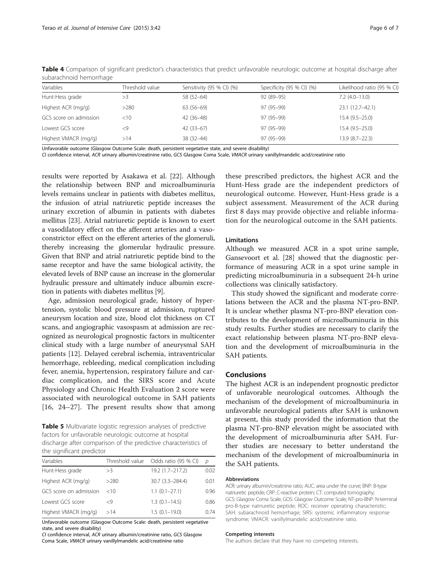| Variables<br>Threshold value |        |                           |                           | Likelihood ratio (95 % CI) |  |
|------------------------------|--------|---------------------------|---------------------------|----------------------------|--|
|                              |        | Sensitivity (95 % CI) (%) | Specificity (95 % CI) (%) |                            |  |
| Hunt-Hess grade              | >3     | 58 (52-64)                | 92 (89-95)                | $7.2(4.0-13.0)$            |  |
| Highest ACR (mg/g)           | >280   | $63(56-69)$               | 97 (95-99)                | $23.1(12.7-42.1)$          |  |
| GCS score on admission       | $<$ 10 | 42 (36-48)                | 97 (95-99)                | $15.4(9.5-25.0)$           |  |
| Lowest GCS score             | <9     | $42(33-67)$               | 97 (95-99)                | $15.4(9.5-25.0)$           |  |
| Highest VMACR (mg/g)         | >14    | 38 (32-44)                | 97 (95-99)                | $13.9(8.7-22.3)$           |  |

<span id="page-5-0"></span>Table 4 Comparison of significant predictor's characteristics that predict unfavorable neurologic outcome at hospital discharge after subarachnoid hemorrhage

Unfavorable outcome (Glasgow Outcome Scale: death, persistent vegetative state, and severe disability)

CI confidence interval, ACR urinary albumin/creatinine ratio, GCS Glasgow Coma Scale, VMACR urinary vanillylmandelic acid/creatinine ratio

results were reported by Asakawa et al. [[22\]](#page-6-0). Although the relationship between BNP and microalbuminuria levels remains unclear in patients with diabetes mellitus, the infusion of atrial natriuretic peptide increases the urinary excretion of albumin in patients with diabetes mellitus [\[23](#page-6-0)]. Atrial natriuretic peptide is known to exert a vasodilatory effect on the afferent arteries and a vasoconstrictor effect on the efferent arteries of the glomeruli, thereby increasing the glomerular hydraulic pressure. Given that BNP and atrial natriuretic peptide bind to the same receptor and have the same biological activity, the elevated levels of BNP cause an increase in the glomerular hydraulic pressure and ultimately induce albumin excretion in patients with diabetes mellitus [\[9](#page-6-0)].

Age, admission neurological grade, history of hypertension, systolic blood pressure at admission, ruptured aneurysm location and size, blood clot thickness on CT scans, and angiographic vasospasm at admission are recognized as neurological prognostic factors in multicenter clinical study with a large number of aneurysmal SAH patients [\[12](#page-6-0)]. Delayed cerebral ischemia, intraventricular hemorrhage, rebleeding, medical complication including fever, anemia, hypertension, respiratory failure and cardiac complication, and the SIRS score and Acute Physiology and Chronic Health Evaluation 2 score were associated with neurological outcome in SAH patients [[16](#page-6-0), [24](#page-6-0)–[27](#page-6-0)]. The present results show that among

Table 5 Multivariate logistic regression analyses of predictive factors for unfavorable neurologic outcome at hospital discharge after comparison of the predictive characteristics of the significant predictor

| Variables              | Threshold value | Odds ratio (95 % CI) | $\mathcal{D}$ |
|------------------------|-----------------|----------------------|---------------|
| Hunt-Hess grade        | >3              | 19.2 (1.7-217.2)     | 0.02          |
| Highest ACR (mg/g)     | >280            | 30.7 (3.3-284.4)     | 0.01          |
| GCS score on admission | $<$ 10          | $1.1(0.1 - 27.1)$    | 0.96          |
| Lowest GCS score       | <9              | $1.3(0.1 - 14.5)$    | 0.86          |
| Highest VMACR (mg/g)   | >14             | $1.5(0.1 - 19.0)$    | 0.74          |

Unfavorable outcome (Glasgow Outcome Scale: death, persistent vegetative state, and severe disability)

CI confidence interval, ACR urinary albumin/creatinine ratio, GCS Glasgow Coma Scale, VMACR urinary vanillylmandelic acid/creatinine ratio

these prescribed predictors, the highest ACR and the Hunt-Hess grade are the independent predictors of neurological outcome. However, Hunt-Hess grade is a subject assessment. Measurement of the ACR during first 8 days may provide objective and reliable information for the neurological outcome in the SAH patients.

#### **Limitations**

Although we measured ACR in a spot urine sample, Gansevoort et al. [\[28\]](#page-6-0) showed that the diagnostic performance of measuring ACR in a spot urine sample in predicting microalbuminuria in a subsequent 24-h urine collections was clinically satisfactory.

This study showed the significant and moderate correlations between the ACR and the plasma NT-pro-BNP. It is unclear whether plasma NT-pro-BNP elevation contributes to the development of microalbuminuria in this study results. Further studies are necessary to clarify the exact relationship between plasma NT-pro-BNP elevation and the development of microalbuminuria in the SAH patients.

#### Conclusions

The highest ACR is an independent prognostic predictor of unfavorable neurological outcomes. Although the mechanism of the development of microalbuminuria in unfavorable neurological patients after SAH is unknown at present, this study provided the information that the plasma NT-pro-BNP elevation might be associated with the development of microalbuminuria after SAH. Further studies are necessary to better understand the mechanism of the development of microalbuminuria in the SAH patients.

#### Abbreviations

ACR: urinary albumin/creatinine ratio; AUC: area under the curve; BNP: B-type natriuretic peptide; CRP: C-reactive protein; CT: computed tomography; GCS: Glasgow Coma Scale; GOS: Glasgow Outcome Scale; NT-pro-BNP: N-terminal pro-B-type natriuretic peptide; ROC: receiver operating characteristic; SAH: subarachnoid hemorrhage; SIRS: systemic inflammatory response syndrome; VMACR: vanillylmandelic acid/creatinine ratio.

#### Competing interests

The authors declare that they have no competing interests.